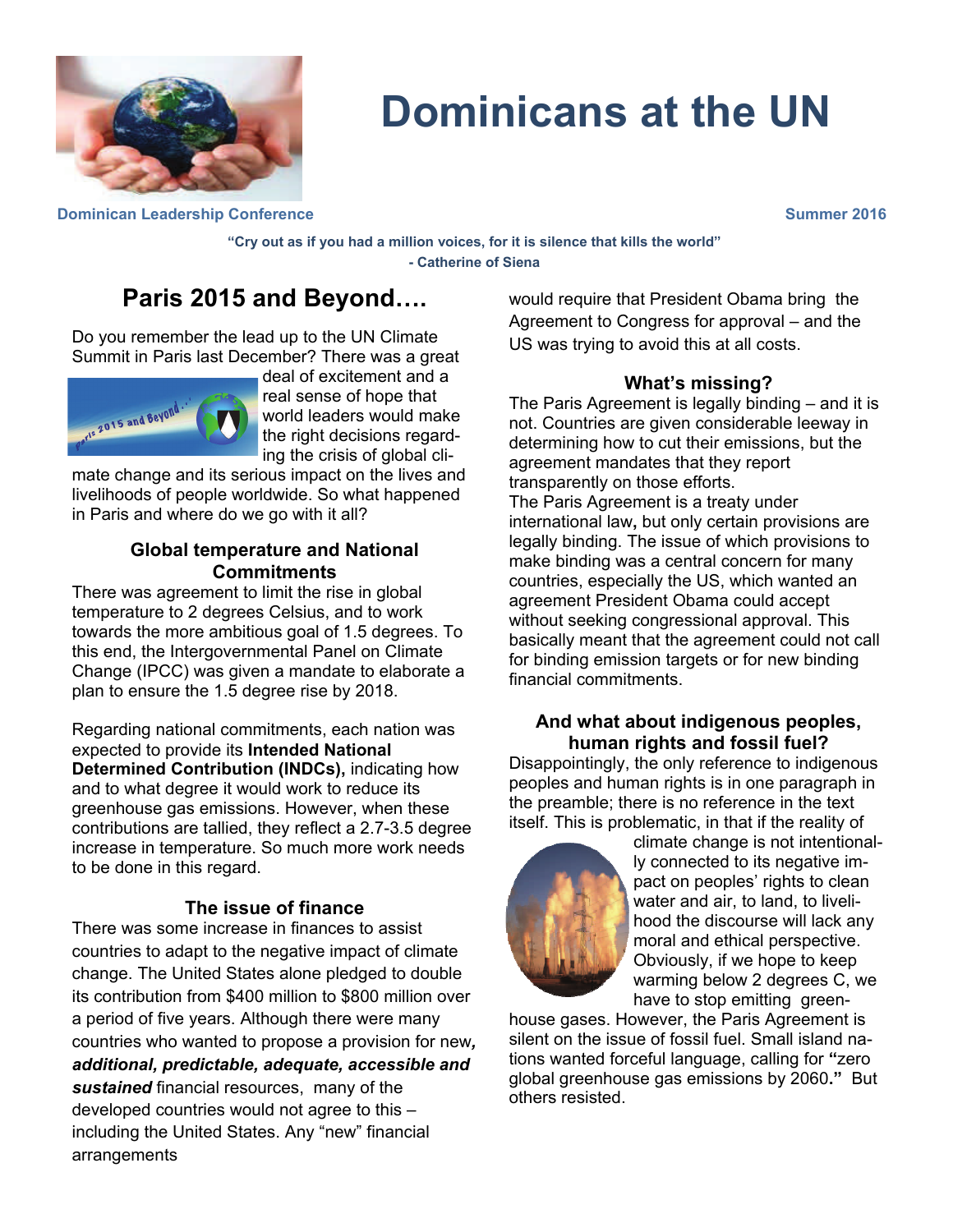

# **Dominicans at the UN**

**Dominican Leadership Conference Summer 2016 Summer 2016** 

**"Cry out as if you had a million voices, for it is silence that kills the world" - Catherine of Siena** 

# **Paris 2015 and Beyond….**

Do you remember the lead up to the UN Climate Summit in Paris last December? There was a great



deal of excitement and a real sense of hope that world leaders would make the right decisions regarding the crisis of global cli-

mate change and its serious impact on the lives and livelihoods of people worldwide. So what happened in Paris and where do we go with it all?

#### **Global temperature and National Commitments**

There was agreement to limit the rise in global temperature to 2 degrees Celsius, and to work towards the more ambitious goal of 1.5 degrees. To this end, the Intergovernmental Panel on Climate Change (IPCC) was given a mandate to elaborate a plan to ensure the 1.5 degree rise by 2018.

Regarding national commitments, each nation was expected to provide its **Intended National Determined Contribution (INDCs),** indicating how and to what degree it would work to reduce its greenhouse gas emissions. However, when these contributions are tallied, they reflect a 2.7-3.5 degree increase in temperature. So much more work needs to be done in this regard.

#### **The issue of finance**

There was some increase in finances to assist countries to adapt to the negative impact of climate change. The United States alone pledged to double its contribution from \$400 million to \$800 million over a period of five years. Although there were many countries who wanted to propose a provision for new*, additional, predictable, adequate, accessible and sustained* financial resources, many of the developed countries would not agree to this – including the United States. Any "new" financial arrangements

would require that President Obama bring the Agreement to Congress for approval – and the US was trying to avoid this at all costs.

#### **What's missing?**

The Paris Agreement is legally binding – and it is not. Countries are given considerable leeway in determining how to cut their emissions, but the agreement mandates that they report transparently on those efforts. The Paris Agreement is a treaty under international law**,** but only certain provisions are legally binding. The issue of which provisions to make binding was a central concern for many countries, especially the US, which wanted an agreement President Obama could accept without seeking congressional approval. This basically meant that the agreement could not call for binding emission targets or for new binding financial commitments.

#### **And what about indigenous peoples, human rights and fossil fuel?**

Disappointingly, the only reference to indigenous peoples and human rights is in one paragraph in the preamble; there is no reference in the text itself. This is problematic, in that if the reality of



climate change is not intentionally connected to its negative impact on peoples' rights to clean water and air, to land, to livelihood the discourse will lack any moral and ethical perspective. Obviously, if we hope to keep warming below 2 degrees C, we have to stop emitting green-

house gases. However, the Paris Agreement is silent on the issue of fossil fuel. Small island nations wanted forceful language, calling for **"**zero global greenhouse gas emissions by 2060**."** But others resisted.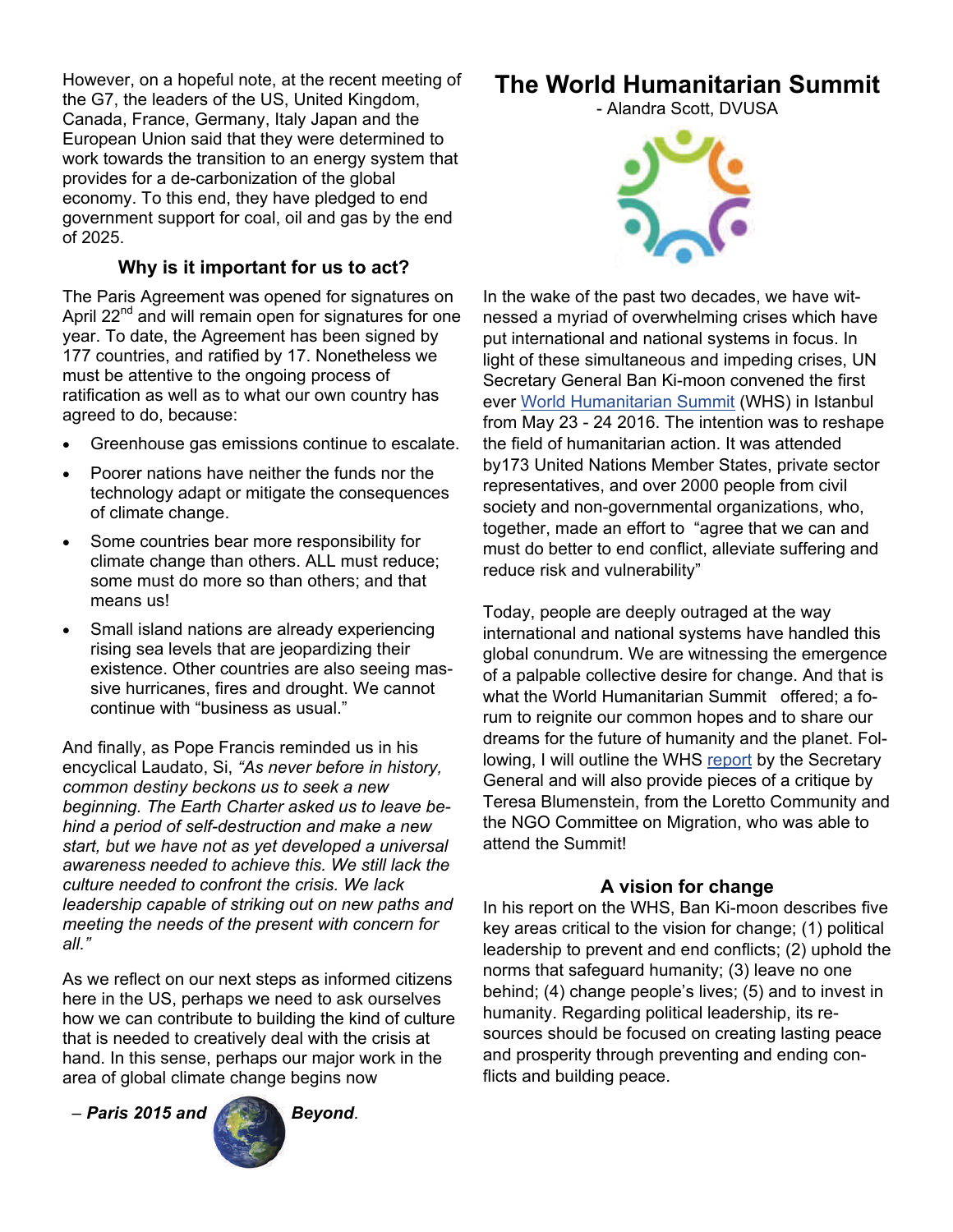However, on a hopeful note, at the recent meeting of the G7, the leaders of the US, United Kingdom, Canada, France, Germany, Italy Japan and the European Union said that they were determined to work towards the transition to an energy system that provides for a de-carbonization of the global economy. To this end, they have pledged to end government support for coal, oil and gas by the end of 2025.

### **Why is it important for us to act?**

The Paris Agreement was opened for signatures on April 22<sup>nd</sup> and will remain open for signatures for one year. To date, the Agreement has been signed by 177 countries, and ratified by 17. Nonetheless we must be attentive to the ongoing process of ratification as well as to what our own country has agreed to do, because:

- Greenhouse gas emissions continue to escalate.
- Poorer nations have neither the funds nor the technology adapt or mitigate the consequences of climate change.
- Some countries bear more responsibility for climate change than others. ALL must reduce; some must do more so than others; and that means us!
- Small island nations are already experiencing rising sea levels that are jeopardizing their existence. Other countries are also seeing massive hurricanes, fires and drought. We cannot continue with "business as usual."

And finally, as Pope Francis reminded us in his encyclical Laudato, Si, *"As never before in history, common destiny beckons us to seek a new beginning. The Earth Charter asked us to leave behind a period of self-destruction and make a new start, but we have not as yet developed a universal awareness needed to achieve this. We still lack the culture needed to confront the crisis. We lack leadership capable of striking out on new paths and meeting the needs of the present with concern for all."* 

As we reflect on our next steps as informed citizens here in the US, perhaps we need to ask ourselves how we can contribute to building the kind of culture that is needed to creatively deal with the crisis at hand. In this sense, perhaps our major work in the area of global climate change begins now

– *Paris 2015 and Beyond*.



# **The World Humanitarian Summit**

- Alandra Scott, DVUSA



In the wake of the past two decades, we have witnessed a myriad of overwhelming crises which have put international and national systems in focus. In light of these simultaneous and impeding crises, UN Secretary General Ban Ki-moon convened the first ever [World Humanitarian Summit](https://www.worldhumanitariansummit.org/learn) (WHS) in Istanbul from May 23 - 24 2016. The intention was to reshape the field of humanitarian action. It was attended by173 United Nations Member States, private sector representatives, and over 2000 people from civil society and non-governmental organizations, who, together, made an effort to "agree that we can and must do better to end conflict, alleviate suffering and reduce risk and vulnerability"

Today, people are deeply outraged at the way international and national systems have handled this global conundrum. We are witnessing the emergence of a palpable collective desire for change. And that is what the World Humanitarian Summit offered; a forum to reignite our common hopes and to share our dreams for the future of humanity and the planet. Following, I will outline the WHS report by the Secretary General and will also provide pieces of a critique by Teresa Blumenstein, from the Loretto Community and the NGO Committee on Migration, who was able to attend the Summit!

#### **A vision for change**

In his report on the WHS, Ban Ki-moon describes five key areas critical to the vision for change; (1) political leadership to prevent and end conflicts; (2) uphold the norms that safeguard humanity; (3) leave no one behind; (4) change people's lives; (5) and to invest in humanity. Regarding political leadership, its resources should be focused on creating lasting peace and prosperity through preventing and ending conflicts and building peace.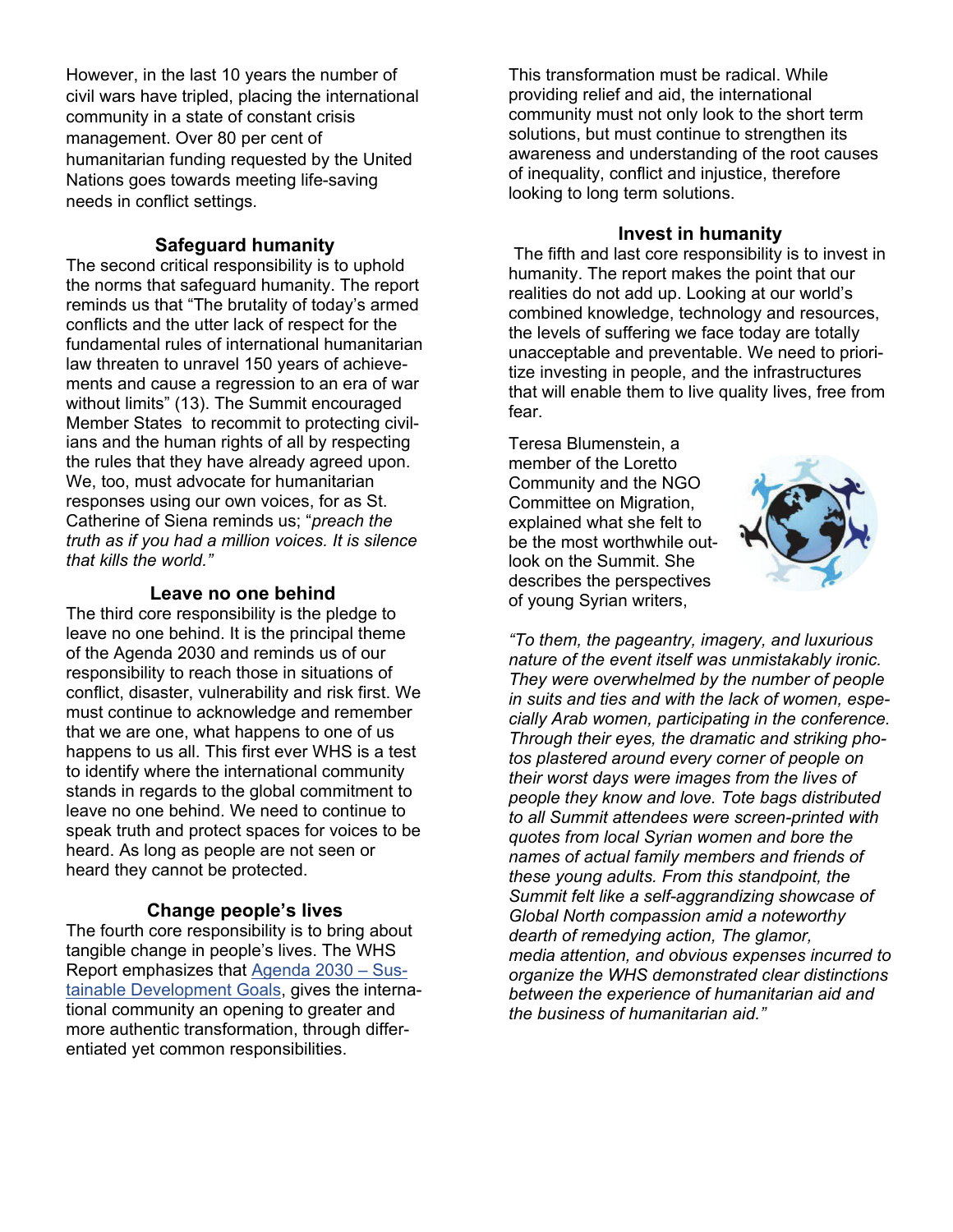However, in the last 10 years the number of civil wars have tripled, placing the international community in a state of constant crisis management. Over 80 per cent of humanitarian funding requested by the United Nations goes towards meeting life-saving needs in conflict settings.

#### **Safeguard humanity**

The second critical responsibility is to uphold the norms that safeguard humanity. The report reminds us that "The brutality of today's armed conflicts and the utter lack of respect for the fundamental rules of international humanitarian law threaten to unravel 150 years of achievements and cause a regression to an era of war without limits" (13). The Summit encouraged Member States to recommit to protecting civilians and the human rights of all by respecting the rules that they have already agreed upon. We, too, must advocate for humanitarian responses using our own voices, for as St. Catherine of Siena reminds us; "*preach the truth as if you had a million voices. It is silence that kills the world."* 

#### **Leave no one behind**

The third core responsibility is the pledge to leave no one behind. It is the principal theme of the Agenda 2030 and reminds us of our responsibility to reach those in situations of conflict, disaster, vulnerability and risk first. We must continue to acknowledge and remember that we are one, what happens to one of us happens to us all. This first ever WHS is a test to identify where the international community stands in regards to the global commitment to leave no one behind. We need to continue to speak truth and protect spaces for voices to be heard. As long as people are not seen or heard they cannot be protected.

#### **Change people's lives**

The fourth core responsibility is to bring about tangible change in people's lives. The WHS Report emphasizes that [Agenda 2030 – Sus](http://www.un.org/sustainabledevelopment/sustainable-development-goals/)[tainable Development Goals](http://www.un.org/sustainabledevelopment/sustainable-development-goals/), gives the international community an opening to greater and more authentic transformation, through differentiated yet common responsibilities.

This transformation must be radical. While providing relief and aid, the international community must not only look to the short term solutions, but must continue to strengthen its awareness and understanding of the root causes of inequality, conflict and injustice, therefore looking to long term solutions.

#### **Invest in humanity**

The fifth and last core responsibility is to invest in humanity. The report makes the point that our realities do not add up. Looking at our world's combined knowledge, technology and resources, the levels of suffering we face today are totally unacceptable and preventable. We need to prioritize investing in people, and the infrastructures that will enable them to live quality lives, free from fear.

Teresa Blumenstein, a member of the Loretto Community and the NGO Committee on Migration, explained what she felt to be the most worthwhile outlook on the Summit. She describes the perspectives of young Syrian writers,



*"To them, the pageantry, imagery, and luxurious nature of the event itself was unmistakably ironic. They were overwhelmed by the number of people in suits and ties and with the lack of women, especially Arab women, participating in the conference. Through their eyes, the dramatic and striking photos plastered around every corner of people on their worst days were images from the lives of people they know and love. Tote bags distributed to all Summit attendees were screen-printed with quotes from local Syrian women and bore the names of actual family members and friends of these young adults. From this standpoint, the Summit felt like a self-aggrandizing showcase of Global North compassion amid a noteworthy dearth of remedying action, The glamor, media attention, and obvious expenses incurred to organize the WHS demonstrated clear distinctions between the experience of humanitarian aid and the business of humanitarian aid."*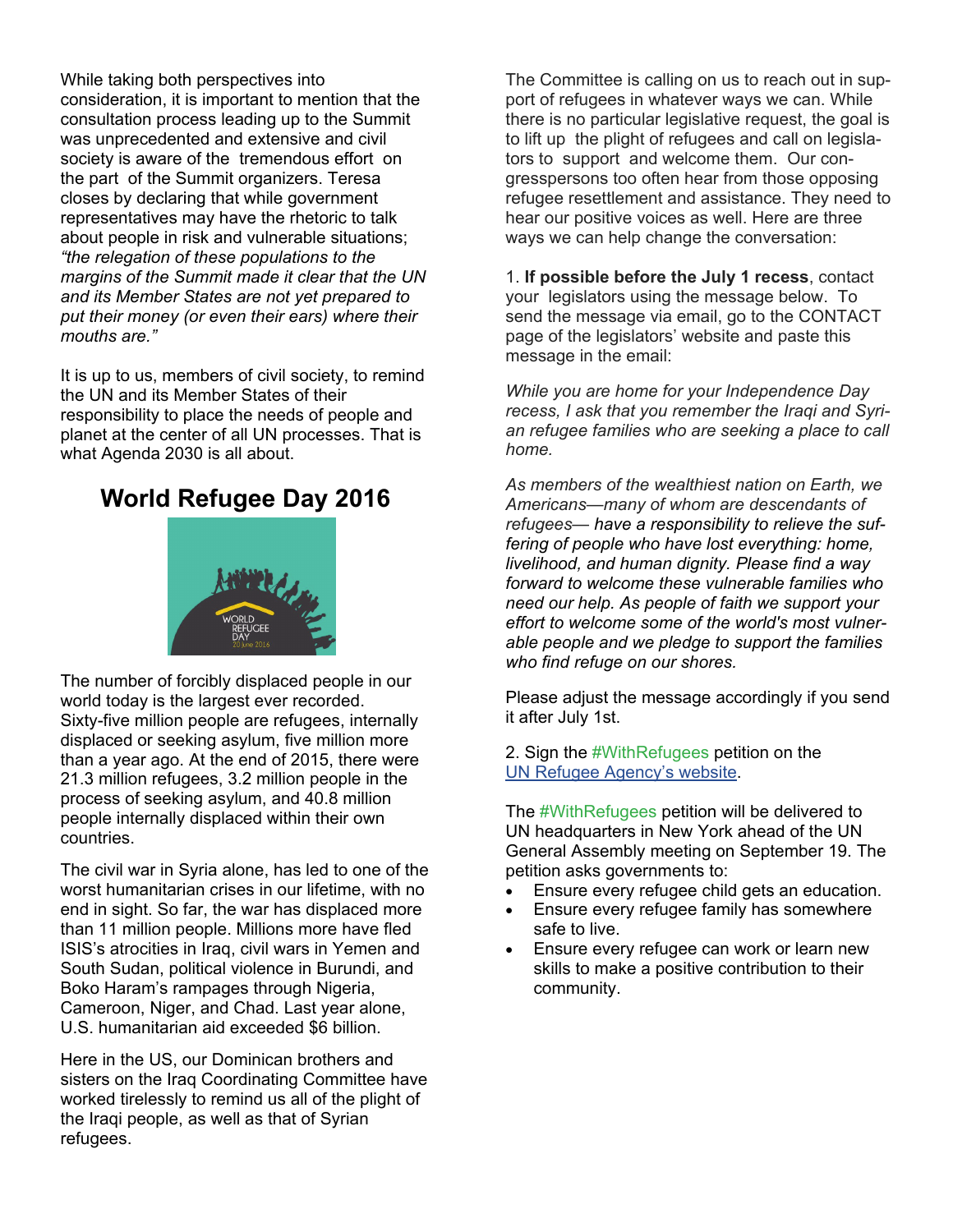While taking both perspectives into consideration, it is important to mention that the consultation process leading up to the Summit was unprecedented and extensive and civil society is aware of the tremendous effort on the part of the Summit organizers. Teresa closes by declaring that while government representatives may have the rhetoric to talk about people in risk and vulnerable situations; *"the relegation of these populations to the margins of the Summit made it clear that the UN and its Member States are not yet prepared to put their money (or even their ears) where their mouths are."* 

It is up to us, members of civil society, to remind the UN and its Member States of their responsibility to place the needs of people and planet at the center of all UN processes. That is what Agenda 2030 is all about.

## **World Refugee Day 2016**



The number of forcibly displaced people in our world today is the largest ever recorded. Sixty-five million people are refugees, internally displaced or seeking asylum, five million more than a year ago. At the end of 2015, there were 21.3 million refugees, 3.2 million people in the process of seeking asylum, and 40.8 million people internally displaced within their own countries.

The civil war in Syria alone, has led to one of the worst humanitarian crises in our lifetime, with no end in sight. So far, the war has displaced more than 11 million people. Millions more have fled ISIS's atrocities in Iraq, civil wars in Yemen and South Sudan, political violence in Burundi, and Boko Haram's rampages through Nigeria, Cameroon, Niger, and Chad. Last year alone, U.S. humanitarian aid exceeded \$6 billion.

Here in the US, our Dominican brothers and sisters on the Iraq Coordinating Committee have worked tirelessly to remind us all of the plight of the Iraqi people, as well as that of Syrian refugees.

The Committee is calling on us to reach out in support of refugees in whatever ways we can. While there is no particular legislative request, the goal is to lift up the plight of refugees and call on legislators to support and welcome them. Our congresspersons too often hear from those opposing refugee resettlement and assistance. They need to hear our positive voices as well. Here are three ways we can help change the conversation:

1. **If possible before the July 1 recess**, contact your legislators using the message below. To send the message via email, go to the CONTACT page of the legislators' website and paste this message in the email:

*While you are home for your Independence Day recess, I ask that you remember the Iraqi and Syrian refugee families who are seeking a place to call home.* 

*As members of the wealthiest nation on Earth, we Americans—many of whom are descendants of refugees— have a responsibility to relieve the suffering of people who have lost everything: home, livelihood, and human dignity. Please find a way forward to welcome these vulnerable families who need our help. As people of faith we support your effort to welcome some of the world's most vulnerable people and we pledge to support the families who find refuge on our shores.* 

Please adjust the message accordingly if you send it after July 1st.

2. Sign the #WithRefugees petition on the [UN Refugee Agency's website](http://www.unhcr.org/refugeeday/us/).

The #WithRefugees petition will be delivered to UN headquarters in New York ahead of the UN General Assembly meeting on September 19. The petition asks governments to:

- Ensure every refugee child gets an education.
- Ensure every refugee family has somewhere safe to live.
- Ensure every refugee can work or learn new skills to make a positive contribution to their community.